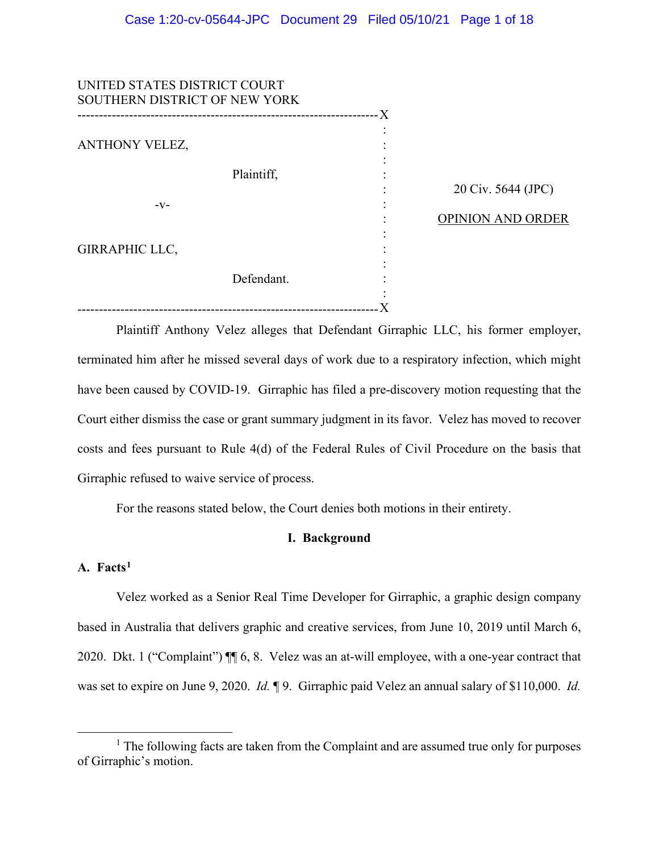| UNITED STATES DISTRICT COURT<br>SOUTHERN DISTRICT OF NEW YORK |            |           |                                         |
|---------------------------------------------------------------|------------|-----------|-----------------------------------------|
| ANTHONY VELEZ,<br>$-V-$                                       | Plaintiff, | $\bullet$ | 20 Civ. 5644 (JPC)<br>OPINION AND ORDER |
| <b>GIRRAPHIC LLC,</b>                                         | Defendant. |           |                                         |

Plaintiff Anthony Velez alleges that Defendant Girraphic LLC, his former employer, terminated him after he missed several days of work due to a respiratory infection, which might have been caused by COVID-19. Girraphic has filed a pre-discovery motion requesting that the Court either dismiss the case or grant summary judgment in its favor. Velez has moved to recover costs and fees pursuant to Rule 4(d) of the Federal Rules of Civil Procedure on the basis that Girraphic refused to waive service of process.

For the reasons stated below, the Court denies both motions in their entirety.

# **I. Background**

# **A. Facts1**

Velez worked as a Senior Real Time Developer for Girraphic, a graphic design company based in Australia that delivers graphic and creative services, from June 10, 2019 until March 6, 2020. Dkt. 1 ("Complaint") ¶¶ 6, 8. Velez was an at-will employee, with a one-year contract that was set to expire on June 9, 2020. *Id.* ¶ 9. Girraphic paid Velez an annual salary of \$110,000. *Id.* 

<sup>&</sup>lt;sup>1</sup> The following facts are taken from the Complaint and are assumed true only for purposes of Girraphic's motion.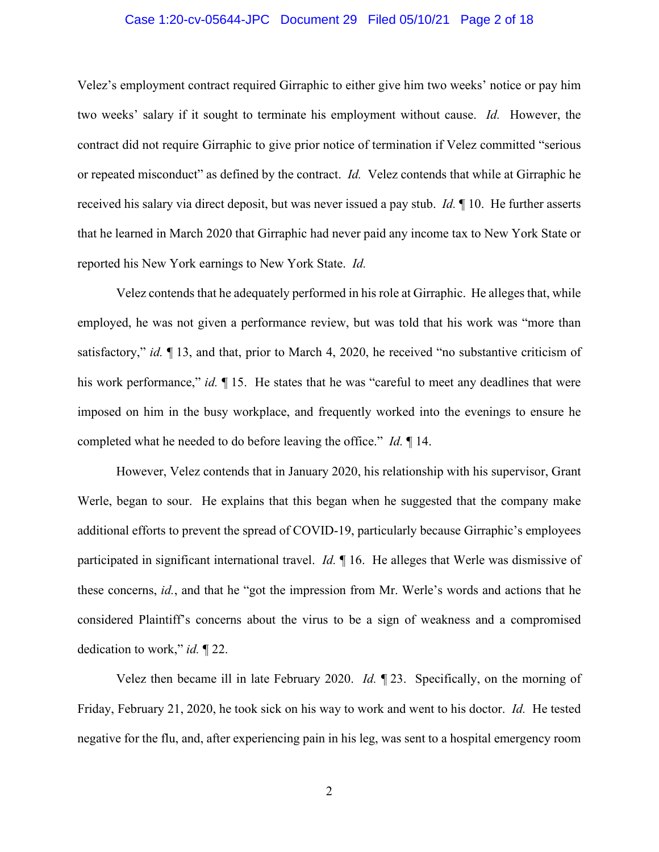# Case 1:20-cv-05644-JPC Document 29 Filed 05/10/21 Page 2 of 18

Velez's employment contract required Girraphic to either give him two weeks' notice or pay him two weeks' salary if it sought to terminate his employment without cause. *Id.* However, the contract did not require Girraphic to give prior notice of termination if Velez committed "serious or repeated misconduct" as defined by the contract. *Id.* Velez contends that while at Girraphic he received his salary via direct deposit, but was never issued a pay stub. *Id.* ¶ 10. He further asserts that he learned in March 2020 that Girraphic had never paid any income tax to New York State or reported his New York earnings to New York State. *Id.*

Velez contends that he adequately performed in his role at Girraphic. He alleges that, while employed, he was not given a performance review, but was told that his work was "more than satisfactory," *id.* ¶ 13, and that, prior to March 4, 2020, he received "no substantive criticism of his work performance," *id.*  $\P$  15. He states that he was "careful to meet any deadlines that were imposed on him in the busy workplace, and frequently worked into the evenings to ensure he completed what he needed to do before leaving the office." *Id.* ¶ 14.

However, Velez contends that in January 2020, his relationship with his supervisor, Grant Werle, began to sour. He explains that this began when he suggested that the company make additional efforts to prevent the spread of COVID-19, particularly because Girraphic's employees participated in significant international travel. *Id.* ¶ 16. He alleges that Werle was dismissive of these concerns, *id.*, and that he "got the impression from Mr. Werle's words and actions that he considered Plaintiff's concerns about the virus to be a sign of weakness and a compromised dedication to work," *id.* ¶ 22.

Velez then became ill in late February 2020. *Id.* ¶ 23. Specifically, on the morning of Friday, February 21, 2020, he took sick on his way to work and went to his doctor. *Id.* He tested negative for the flu, and, after experiencing pain in his leg, was sent to a hospital emergency room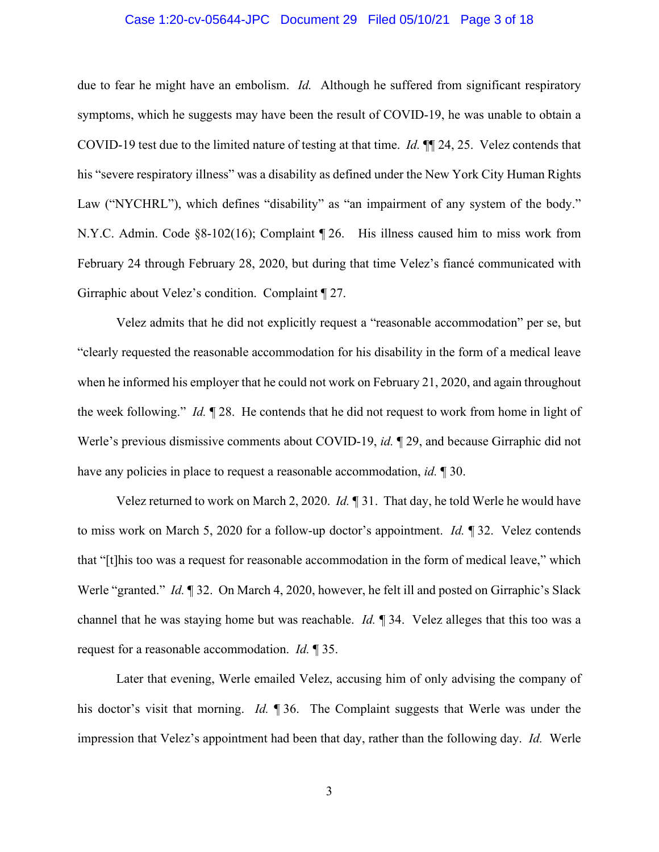#### Case 1:20-cv-05644-JPC Document 29 Filed 05/10/21 Page 3 of 18

due to fear he might have an embolism. *Id.* Although he suffered from significant respiratory symptoms, which he suggests may have been the result of COVID-19, he was unable to obtain a COVID-19 test due to the limited nature of testing at that time. *Id.* ¶¶ 24, 25. Velez contends that his "severe respiratory illness" was a disability as defined under the New York City Human Rights Law ("NYCHRL"), which defines "disability" as "an impairment of any system of the body." N.Y.C. Admin. Code §8-102(16); Complaint ¶ 26. His illness caused him to miss work from February 24 through February 28, 2020, but during that time Velez's fiancé communicated with Girraphic about Velez's condition. Complaint ¶ 27.

Velez admits that he did not explicitly request a "reasonable accommodation" per se, but "clearly requested the reasonable accommodation for his disability in the form of a medical leave when he informed his employer that he could not work on February 21, 2020, and again throughout the week following." *Id.* ¶ 28. He contends that he did not request to work from home in light of Werle's previous dismissive comments about COVID-19, *id.* ¶ 29, and because Girraphic did not have any policies in place to request a reasonable accommodation, *id.* ¶ 30.

Velez returned to work on March 2, 2020. *Id.* ¶ 31. That day, he told Werle he would have to miss work on March 5, 2020 for a follow-up doctor's appointment. *Id.* ¶ 32. Velez contends that "[t]his too was a request for reasonable accommodation in the form of medical leave," which Werle "granted." *Id.* 1 32. On March 4, 2020, however, he felt ill and posted on Girraphic's Slack channel that he was staying home but was reachable. *Id.* ¶ 34. Velez alleges that this too was a request for a reasonable accommodation. *Id.* ¶ 35.

Later that evening, Werle emailed Velez, accusing him of only advising the company of his doctor's visit that morning. *Id.* ¶ 36. The Complaint suggests that Werle was under the impression that Velez's appointment had been that day, rather than the following day. *Id.* Werle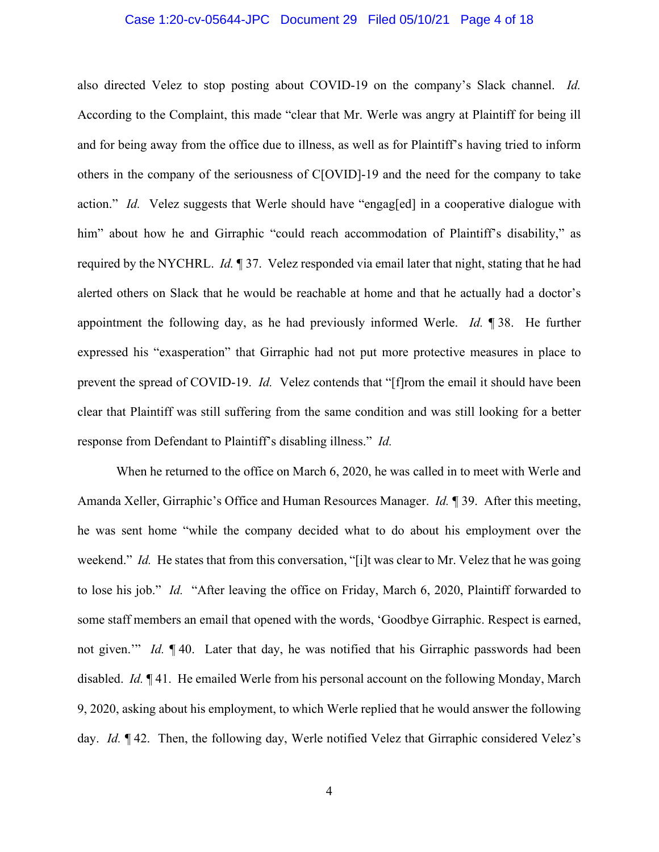## Case 1:20-cv-05644-JPC Document 29 Filed 05/10/21 Page 4 of 18

also directed Velez to stop posting about COVID-19 on the company's Slack channel. *Id.*  According to the Complaint, this made "clear that Mr. Werle was angry at Plaintiff for being ill and for being away from the office due to illness, as well as for Plaintiff's having tried to inform others in the company of the seriousness of C[OVID]-19 and the need for the company to take action." *Id.* Velez suggests that Werle should have "engag[ed] in a cooperative dialogue with him" about how he and Girraphic "could reach accommodation of Plaintiff's disability," as required by the NYCHRL. *Id.* ¶ 37. Velez responded via email later that night, stating that he had alerted others on Slack that he would be reachable at home and that he actually had a doctor's appointment the following day, as he had previously informed Werle. *Id.* ¶ 38. He further expressed his "exasperation" that Girraphic had not put more protective measures in place to prevent the spread of COVID-19. *Id.* Velez contends that "[f]rom the email it should have been clear that Plaintiff was still suffering from the same condition and was still looking for a better response from Defendant to Plaintiff's disabling illness." *Id.* 

When he returned to the office on March 6, 2020, he was called in to meet with Werle and Amanda Xeller, Girraphic's Office and Human Resources Manager. *Id.* ¶ 39. After this meeting, he was sent home "while the company decided what to do about his employment over the weekend." *Id.* He states that from this conversation, "[i]t was clear to Mr. Velez that he was going to lose his job." *Id.* "After leaving the office on Friday, March 6, 2020, Plaintiff forwarded to some staff members an email that opened with the words, 'Goodbye Girraphic. Respect is earned, not given.'" *Id.* ¶ 40. Later that day, he was notified that his Girraphic passwords had been disabled. *Id.* ¶ 41. He emailed Werle from his personal account on the following Monday, March 9, 2020, asking about his employment, to which Werle replied that he would answer the following day. *Id.* ¶ 42. Then, the following day, Werle notified Velez that Girraphic considered Velez's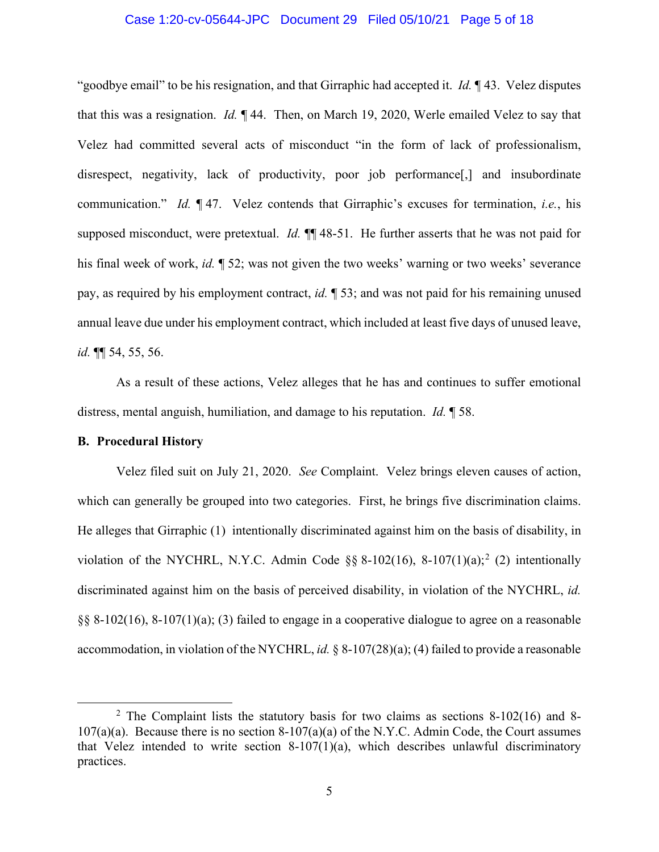# Case 1:20-cv-05644-JPC Document 29 Filed 05/10/21 Page 5 of 18

"goodbye email" to be his resignation, and that Girraphic had accepted it. *Id.* ¶ 43. Velez disputes that this was a resignation. *Id.* ¶ 44. Then, on March 19, 2020, Werle emailed Velez to say that Velez had committed several acts of misconduct "in the form of lack of professionalism, disrespect, negativity, lack of productivity, poor job performance<sup>[1]</sup>, and insubordinate communication." *Id.* ¶ 47. Velez contends that Girraphic's excuses for termination, *i.e.*, his supposed misconduct, were pretextual. *Id.*  $\mathbb{I}$  48-51. He further asserts that he was not paid for his final week of work, *id.* ¶ 52; was not given the two weeks' warning or two weeks' severance pay, as required by his employment contract, *id.* ¶ 53; and was not paid for his remaining unused annual leave due under his employment contract, which included at least five days of unused leave, *id.* ¶¶ 54, 55, 56.

As a result of these actions, Velez alleges that he has and continues to suffer emotional distress, mental anguish, humiliation, and damage to his reputation. *Id.* ¶ 58.

# **B. Procedural History**

Velez filed suit on July 21, 2020. *See* Complaint. Velez brings eleven causes of action, which can generally be grouped into two categories. First, he brings five discrimination claims. He alleges that Girraphic (1) intentionally discriminated against him on the basis of disability, in violation of the NYCHRL, N.Y.C. Admin Code  $\S$ § 8-102(16), 8-107(1)(a);<sup>2</sup> (2) intentionally discriminated against him on the basis of perceived disability, in violation of the NYCHRL, *id.*  §§ 8-102(16), 8-107(1)(a); (3) failed to engage in a cooperative dialogue to agree on a reasonable accommodation, in violation of the NYCHRL, *id.* § 8-107(28)(a); (4) failed to provide a reasonable

 $2$  The Complaint lists the statutory basis for two claims as sections 8-102(16) and 8- $107(a)(a)$ . Because there is no section 8-107(a)(a) of the N.Y.C. Admin Code, the Court assumes that Velez intended to write section  $8-107(1)(a)$ , which describes unlawful discriminatory practices.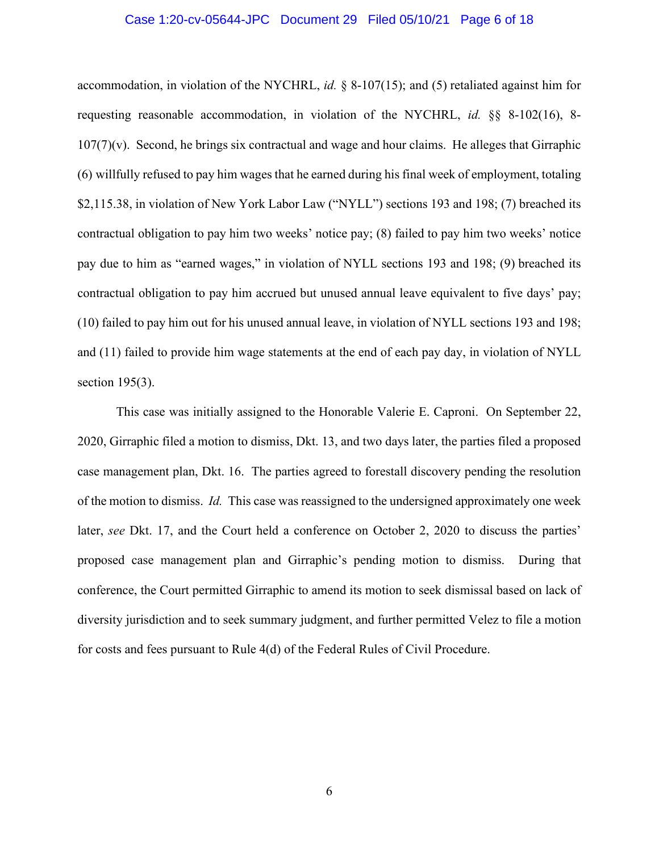#### Case 1:20-cv-05644-JPC Document 29 Filed 05/10/21 Page 6 of 18

accommodation, in violation of the NYCHRL, *id.* § 8-107(15); and (5) retaliated against him for requesting reasonable accommodation, in violation of the NYCHRL, *id.* §§ 8-102(16), 8-  $107(7)(v)$ . Second, he brings six contractual and wage and hour claims. He alleges that Girraphic (6) willfully refused to pay him wages that he earned during his final week of employment, totaling \$2,115.38, in violation of New York Labor Law ("NYLL") sections 193 and 198; (7) breached its contractual obligation to pay him two weeks' notice pay; (8) failed to pay him two weeks' notice pay due to him as "earned wages," in violation of NYLL sections 193 and 198; (9) breached its contractual obligation to pay him accrued but unused annual leave equivalent to five days' pay; (10) failed to pay him out for his unused annual leave, in violation of NYLL sections 193 and 198; and (11) failed to provide him wage statements at the end of each pay day, in violation of NYLL section 195(3).

This case was initially assigned to the Honorable Valerie E. Caproni. On September 22, 2020, Girraphic filed a motion to dismiss, Dkt. 13, and two days later, the parties filed a proposed case management plan, Dkt. 16. The parties agreed to forestall discovery pending the resolution of the motion to dismiss. *Id.* This case was reassigned to the undersigned approximately one week later, *see* Dkt. 17, and the Court held a conference on October 2, 2020 to discuss the parties' proposed case management plan and Girraphic's pending motion to dismiss. During that conference, the Court permitted Girraphic to amend its motion to seek dismissal based on lack of diversity jurisdiction and to seek summary judgment, and further permitted Velez to file a motion for costs and fees pursuant to Rule 4(d) of the Federal Rules of Civil Procedure.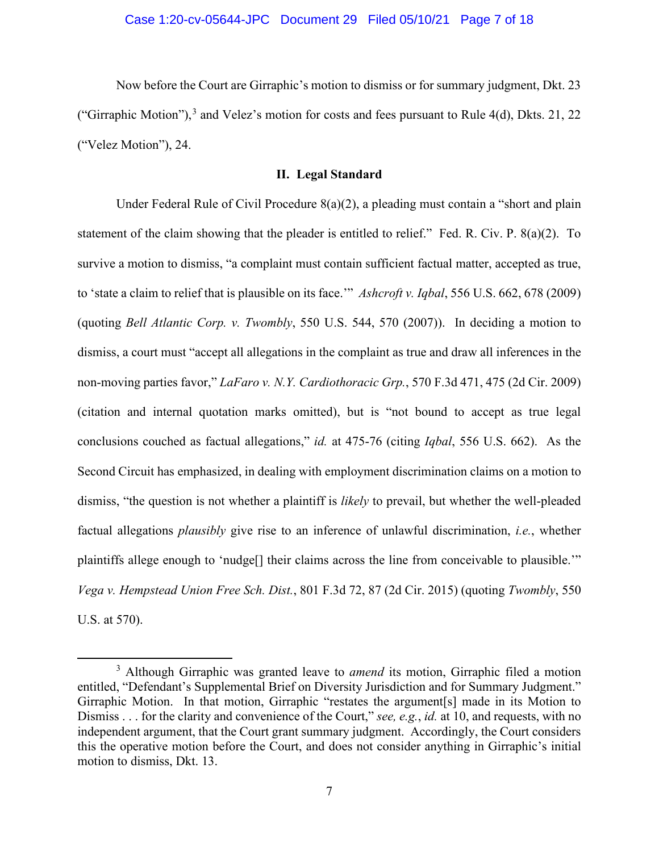Now before the Court are Girraphic's motion to dismiss or for summary judgment, Dkt. 23 ("Girraphic Motion"),<sup>3</sup> and Velez's motion for costs and fees pursuant to Rule 4(d), Dkts. 21, 22 ("Velez Motion"), 24.

# **II. Legal Standard**

Under Federal Rule of Civil Procedure 8(a)(2), a pleading must contain a "short and plain statement of the claim showing that the pleader is entitled to relief." Fed. R. Civ. P. 8(a)(2). To survive a motion to dismiss, "a complaint must contain sufficient factual matter, accepted as true, to 'state a claim to relief that is plausible on its face.'" *Ashcroft v. Iqbal*, 556 U.S. 662, 678 (2009) (quoting *Bell Atlantic Corp. v. Twombly*, 550 U.S. 544, 570 (2007)). In deciding a motion to dismiss, a court must "accept all allegations in the complaint as true and draw all inferences in the non-moving parties favor," *LaFaro v. N.Y. Cardiothoracic Grp.*, 570 F.3d 471, 475 (2d Cir. 2009) (citation and internal quotation marks omitted), but is "not bound to accept as true legal conclusions couched as factual allegations," *id.* at 475-76 (citing *Iqbal*, 556 U.S. 662). As the Second Circuit has emphasized, in dealing with employment discrimination claims on a motion to dismiss, "the question is not whether a plaintiff is *likely* to prevail, but whether the well-pleaded factual allegations *plausibly* give rise to an inference of unlawful discrimination, *i.e.*, whether plaintiffs allege enough to 'nudge[] their claims across the line from conceivable to plausible.'" *Vega v. Hempstead Union Free Sch. Dist.*, 801 F.3d 72, 87 (2d Cir. 2015) (quoting *Twombly*, 550 U.S. at 570).

<sup>3</sup> Although Girraphic was granted leave to *amend* its motion, Girraphic filed a motion entitled, "Defendant's Supplemental Brief on Diversity Jurisdiction and for Summary Judgment." Girraphic Motion. In that motion, Girraphic "restates the argument[s] made in its Motion to Dismiss . . . for the clarity and convenience of the Court," *see, e.g.*, *id.* at 10, and requests, with no independent argument, that the Court grant summary judgment. Accordingly, the Court considers this the operative motion before the Court, and does not consider anything in Girraphic's initial motion to dismiss, Dkt. 13.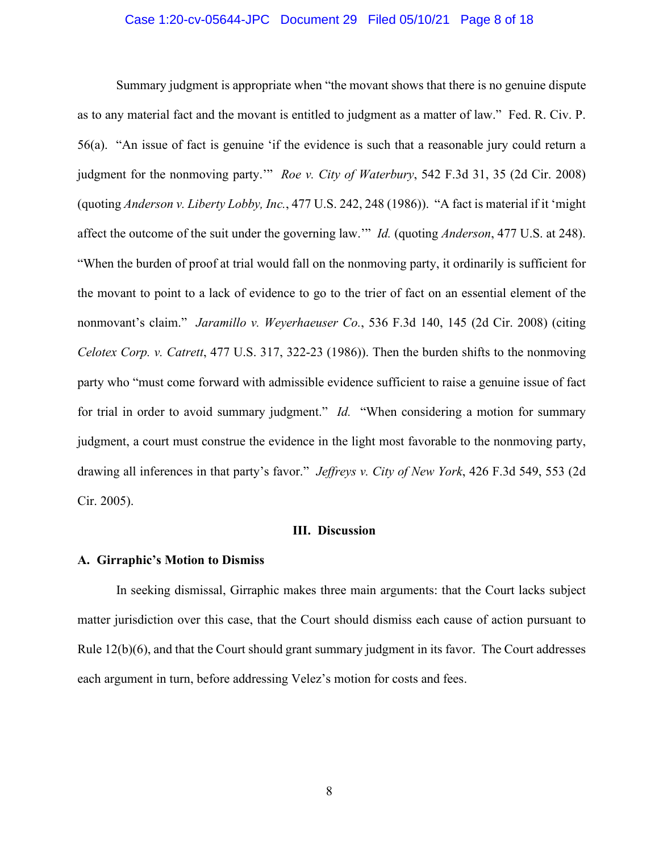# Case 1:20-cv-05644-JPC Document 29 Filed 05/10/21 Page 8 of 18

Summary judgment is appropriate when "the movant shows that there is no genuine dispute as to any material fact and the movant is entitled to judgment as a matter of law." Fed. R. Civ. P. 56(a). "An issue of fact is genuine 'if the evidence is such that a reasonable jury could return a judgment for the nonmoving party.'" *Roe v. City of Waterbury*, 542 F.3d 31, 35 (2d Cir. 2008) (quoting *Anderson v. Liberty Lobby, Inc.*, 477 U.S. 242, 248 (1986)). "A fact is material if it 'might affect the outcome of the suit under the governing law.'" *Id.* (quoting *Anderson*, 477 U.S. at 248). "When the burden of proof at trial would fall on the nonmoving party, it ordinarily is sufficient for the movant to point to a lack of evidence to go to the trier of fact on an essential element of the nonmovant's claim." *Jaramillo v. Weyerhaeuser Co.*, 536 F.3d 140, 145 (2d Cir. 2008) (citing *Celotex Corp. v. Catrett*, 477 U.S. 317, 322-23 (1986)). Then the burden shifts to the nonmoving party who "must come forward with admissible evidence sufficient to raise a genuine issue of fact for trial in order to avoid summary judgment." *Id.* "When considering a motion for summary judgment, a court must construe the evidence in the light most favorable to the nonmoving party, drawing all inferences in that party's favor." *Jeffreys v. City of New York*, 426 F.3d 549, 553 (2d Cir. 2005).

# **III. Discussion**

# **A. Girraphic's Motion to Dismiss**

In seeking dismissal, Girraphic makes three main arguments: that the Court lacks subject matter jurisdiction over this case, that the Court should dismiss each cause of action pursuant to Rule  $12(b)(6)$ , and that the Court should grant summary judgment in its favor. The Court addresses each argument in turn, before addressing Velez's motion for costs and fees.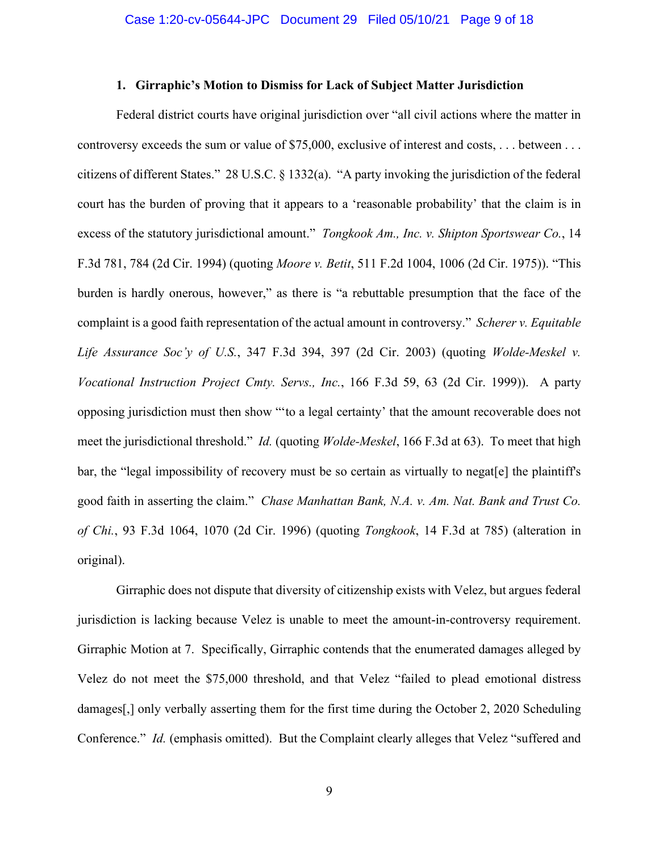# **1. Girraphic's Motion to Dismiss for Lack of Subject Matter Jurisdiction**

Federal district courts have original jurisdiction over "all civil actions where the matter in controversy exceeds the sum or value of \$75,000, exclusive of interest and costs, . . . between . . . citizens of different States." 28 U.S.C. § 1332(a). "A party invoking the jurisdiction of the federal court has the burden of proving that it appears to a 'reasonable probability' that the claim is in excess of the statutory jurisdictional amount." *Tongkook Am., Inc. v. Shipton Sportswear Co.*, 14 F.3d 781, 784 (2d Cir. 1994) (quoting *Moore v. Betit*, 511 F.2d 1004, 1006 (2d Cir. 1975)). "This burden is hardly onerous, however," as there is "a rebuttable presumption that the face of the complaint is a good faith representation of the actual amount in controversy." *Scherer v. Equitable Life Assurance Soc'y of U.S.*, 347 F.3d 394, 397 (2d Cir. 2003) (quoting *Wolde-Meskel v. Vocational Instruction Project Cmty. Servs., Inc.*, 166 F.3d 59, 63 (2d Cir. 1999)). A party opposing jurisdiction must then show "'to a legal certainty' that the amount recoverable does not meet the jurisdictional threshold." *Id.* (quoting *Wolde-Meskel*, 166 F.3d at 63). To meet that high bar, the "legal impossibility of recovery must be so certain as virtually to negat[e] the plaintiff's good faith in asserting the claim." *Chase Manhattan Bank, N.A. v. Am. Nat. Bank and Trust Co. of Chi.*, 93 F.3d 1064, 1070 (2d Cir. 1996) (quoting *Tongkook*, 14 F.3d at 785) (alteration in original).

Girraphic does not dispute that diversity of citizenship exists with Velez, but argues federal jurisdiction is lacking because Velez is unable to meet the amount-in-controversy requirement. Girraphic Motion at 7. Specifically, Girraphic contends that the enumerated damages alleged by Velez do not meet the \$75,000 threshold, and that Velez "failed to plead emotional distress damages[,] only verbally asserting them for the first time during the October 2, 2020 Scheduling Conference." *Id.* (emphasis omitted). But the Complaint clearly alleges that Velez "suffered and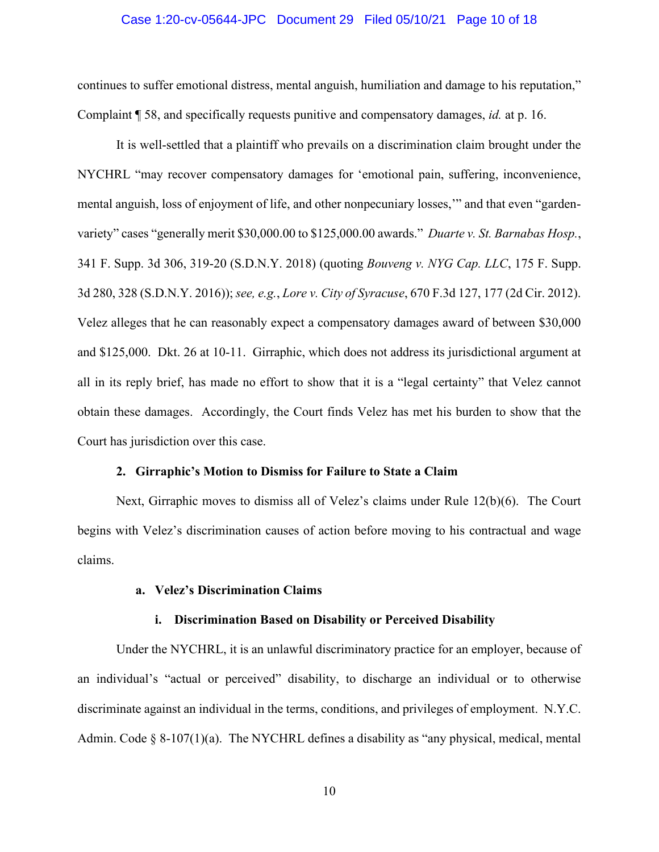# Case 1:20-cv-05644-JPC Document 29 Filed 05/10/21 Page 10 of 18

continues to suffer emotional distress, mental anguish, humiliation and damage to his reputation," Complaint ¶ 58, and specifically requests punitive and compensatory damages, *id.* at p. 16.

It is well-settled that a plaintiff who prevails on a discrimination claim brought under the NYCHRL "may recover compensatory damages for 'emotional pain, suffering, inconvenience, mental anguish, loss of enjoyment of life, and other nonpecuniary losses,'" and that even "gardenvariety" cases "generally merit \$30,000.00 to \$125,000.00 awards." *Duarte v. St. Barnabas Hosp.*, 341 F. Supp. 3d 306, 319-20 (S.D.N.Y. 2018) (quoting *Bouveng v. NYG Cap. LLC*, 175 F. Supp. 3d 280, 328 (S.D.N.Y. 2016)); *see, e.g.*, *Lore v. City of Syracuse*, 670 F.3d 127, 177 (2d Cir. 2012). Velez alleges that he can reasonably expect a compensatory damages award of between \$30,000 and \$125,000. Dkt. 26 at 10-11. Girraphic, which does not address its jurisdictional argument at all in its reply brief, has made no effort to show that it is a "legal certainty" that Velez cannot obtain these damages. Accordingly, the Court finds Velez has met his burden to show that the Court has jurisdiction over this case.

#### **2. Girraphic's Motion to Dismiss for Failure to State a Claim**

Next, Girraphic moves to dismiss all of Velez's claims under Rule 12(b)(6). The Court begins with Velez's discrimination causes of action before moving to his contractual and wage claims.

# **a. Velez's Discrimination Claims**

#### **i. Discrimination Based on Disability or Perceived Disability**

Under the NYCHRL, it is an unlawful discriminatory practice for an employer, because of an individual's "actual or perceived" disability, to discharge an individual or to otherwise discriminate against an individual in the terms, conditions, and privileges of employment. N.Y.C. Admin. Code § 8-107(1)(a). The NYCHRL defines a disability as "any physical, medical, mental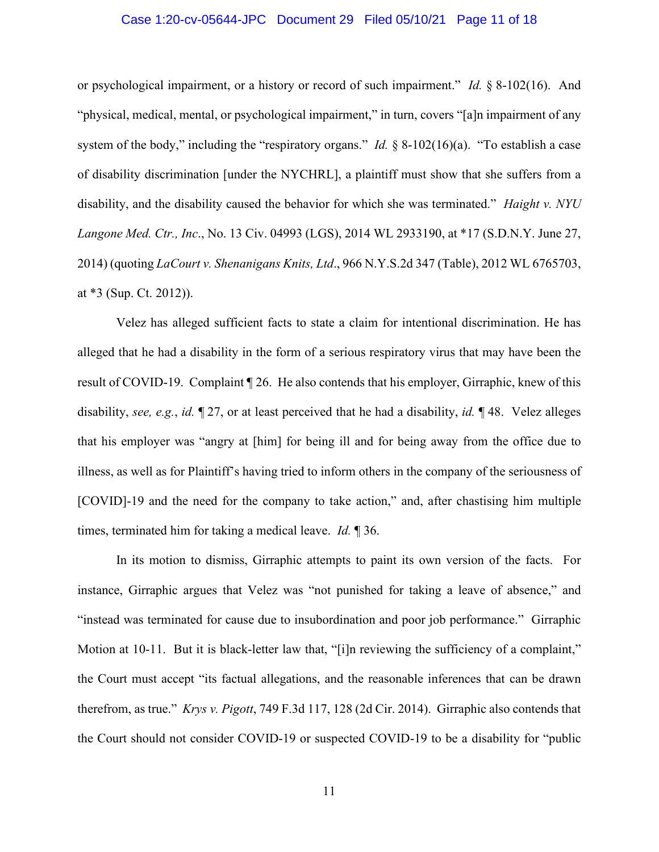# Case 1:20-cv-05644-JPC Document 29 Filed 05/10/21 Page 11 of 18

or psychological impairment, or a history or record of such impairment." *Id.* § 8-102(16). And "physical, medical, mental, or psychological impairment," in turn, covers "[a]n impairment of any system of the body," including the "respiratory organs." *Id.* § 8-102(16)(a). "To establish a case of disability discrimination [under the NYCHRL], a plaintiff must show that she suffers from a disability, and the disability caused the behavior for which she was terminated." *Haight v. NYU Langone Med. Ctr., Inc*., No. 13 Civ. 04993 (LGS), 2014 WL 2933190, at \*17 (S.D.N.Y. June 27, 2014) (quoting *LaCourt v. Shenanigans Knits, Ltd*., 966 N.Y.S.2d 347 (Table), 2012 WL 6765703, at \*3 (Sup. Ct. 2012)).

Velez has alleged sufficient facts to state a claim for intentional discrimination. He has alleged that he had a disability in the form of a serious respiratory virus that may have been the result of COVID-19. Complaint ¶ 26. He also contends that his employer, Girraphic, knew of this disability, *see, e.g.*, *id.* ¶ 27, or at least perceived that he had a disability, *id.* ¶ 48. Velez alleges that his employer was "angry at [him] for being ill and for being away from the office due to illness, as well as for Plaintiff's having tried to inform others in the company of the seriousness of [COVID]-19 and the need for the company to take action," and, after chastising him multiple times, terminated him for taking a medical leave. *Id.* ¶ 36.

In its motion to dismiss, Girraphic attempts to paint its own version of the facts. For instance, Girraphic argues that Velez was "not punished for taking a leave of absence," and "instead was terminated for cause due to insubordination and poor job performance." Girraphic Motion at 10-11. But it is black-letter law that, "[i]n reviewing the sufficiency of a complaint," the Court must accept "its factual allegations, and the reasonable inferences that can be drawn therefrom, as true." *Krys v. Pigott*, 749 F.3d 117, 128 (2d Cir. 2014). Girraphic also contends that the Court should not consider COVID-19 or suspected COVID-19 to be a disability for "public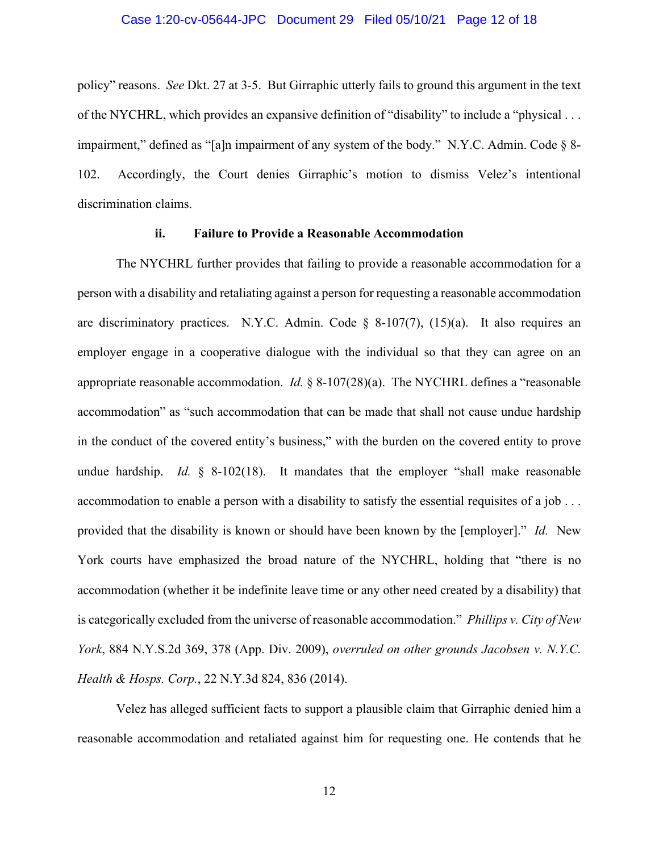policy" reasons. *See* Dkt. 27 at 3-5. But Girraphic utterly fails to ground this argument in the text of the NYCHRL, which provides an expansive definition of "disability" to include a "physical . . . impairment," defined as "[a]n impairment of any system of the body." N.Y.C. Admin. Code § 8- 102. Accordingly, the Court denies Girraphic's motion to dismiss Velez's intentional discrimination claims.

# **ii. Failure to Provide a Reasonable Accommodation**

The NYCHRL further provides that failing to provide a reasonable accommodation for a person with a disability and retaliating against a person for requesting a reasonable accommodation are discriminatory practices. N.Y.C. Admin. Code  $\S$  8-107(7), (15)(a). It also requires an employer engage in a cooperative dialogue with the individual so that they can agree on an appropriate reasonable accommodation. *Id.* § 8-107(28)(a). The NYCHRL defines a "reasonable accommodation" as "such accommodation that can be made that shall not cause undue hardship in the conduct of the covered entity's business," with the burden on the covered entity to prove undue hardship. *Id.* § 8-102(18). It mandates that the employer "shall make reasonable accommodation to enable a person with a disability to satisfy the essential requisites of a job . . . provided that the disability is known or should have been known by the [employer]." *Id.* New York courts have emphasized the broad nature of the NYCHRL, holding that "there is no accommodation (whether it be indefinite leave time or any other need created by a disability) that is categorically excluded from the universe of reasonable accommodation." *Phillips v. City of New York*, 884 N.Y.S.2d 369, 378 (App. Div. 2009), *overruled on other grounds Jacobsen v. N.Y.C. Health & Hosps. Corp.*, 22 N.Y.3d 824, 836 (2014).

Velez has alleged sufficient facts to support a plausible claim that Girraphic denied him a reasonable accommodation and retaliated against him for requesting one. He contends that he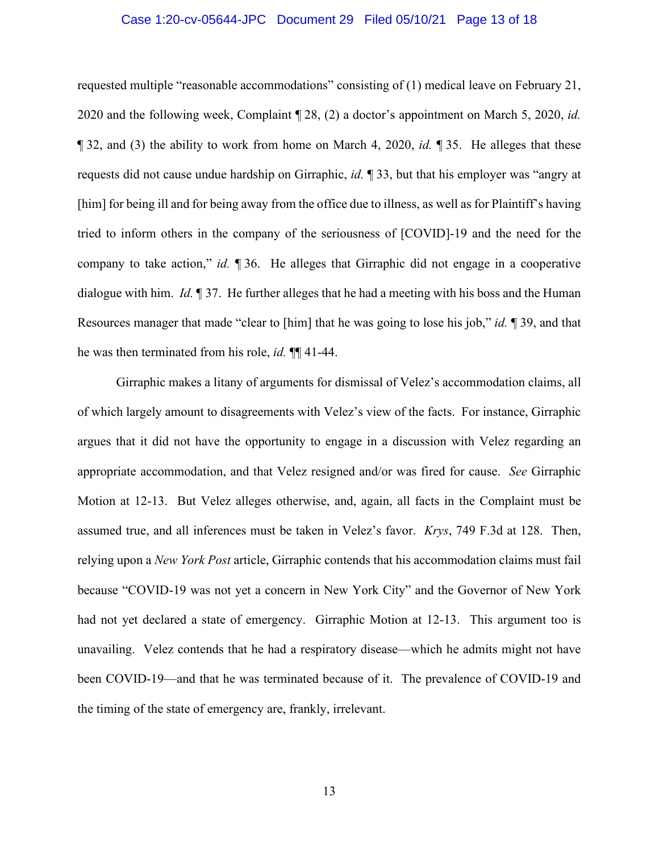# Case 1:20-cv-05644-JPC Document 29 Filed 05/10/21 Page 13 of 18

requested multiple "reasonable accommodations" consisting of (1) medical leave on February 21, 2020 and the following week, Complaint ¶ 28, (2) a doctor's appointment on March 5, 2020, *id.*  ¶ 32, and (3) the ability to work from home on March 4, 2020, *id.* ¶ 35. He alleges that these requests did not cause undue hardship on Girraphic, *id.* ¶ 33, but that his employer was "angry at [him] for being ill and for being away from the office due to illness, as well as for Plaintiff's having tried to inform others in the company of the seriousness of [COVID]-19 and the need for the company to take action," *id.* ¶ 36. He alleges that Girraphic did not engage in a cooperative dialogue with him. *Id.* ¶ 37. He further alleges that he had a meeting with his boss and the Human Resources manager that made "clear to [him] that he was going to lose his job," *id.* ¶ 39, and that he was then terminated from his role, *id.* ¶¶ 41-44.

Girraphic makes a litany of arguments for dismissal of Velez's accommodation claims, all of which largely amount to disagreements with Velez's view of the facts. For instance, Girraphic argues that it did not have the opportunity to engage in a discussion with Velez regarding an appropriate accommodation, and that Velez resigned and/or was fired for cause. *See* Girraphic Motion at 12-13. But Velez alleges otherwise, and, again, all facts in the Complaint must be assumed true, and all inferences must be taken in Velez's favor. *Krys*, 749 F.3d at 128. Then, relying upon a *New York Post* article, Girraphic contends that his accommodation claims must fail because "COVID-19 was not yet a concern in New York City" and the Governor of New York had not yet declared a state of emergency. Girraphic Motion at 12-13. This argument too is unavailing. Velez contends that he had a respiratory disease—which he admits might not have been COVID-19—and that he was terminated because of it. The prevalence of COVID-19 and the timing of the state of emergency are, frankly, irrelevant.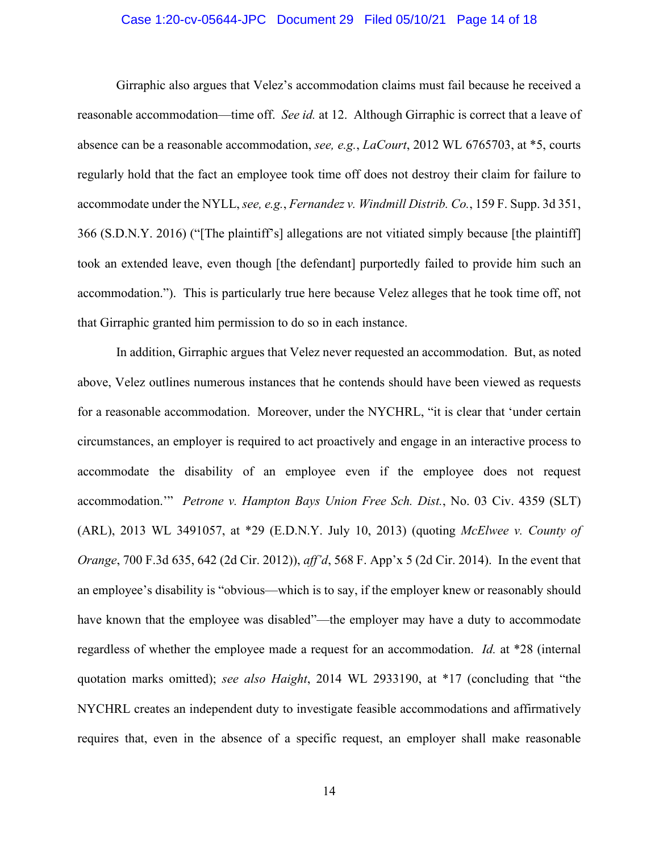# Case 1:20-cv-05644-JPC Document 29 Filed 05/10/21 Page 14 of 18

Girraphic also argues that Velez's accommodation claims must fail because he received a reasonable accommodation—time off. *See id.* at 12. Although Girraphic is correct that a leave of absence can be a reasonable accommodation, *see, e.g.*, *LaCourt*, 2012 WL 6765703, at \*5, courts regularly hold that the fact an employee took time off does not destroy their claim for failure to accommodate under the NYLL, *see, e.g.*, *Fernandez v. Windmill Distrib. Co.*, 159 F. Supp. 3d 351, 366 (S.D.N.Y. 2016) ("[The plaintiff's] allegations are not vitiated simply because [the plaintiff] took an extended leave, even though [the defendant] purportedly failed to provide him such an accommodation."). This is particularly true here because Velez alleges that he took time off, not that Girraphic granted him permission to do so in each instance.

In addition, Girraphic argues that Velez never requested an accommodation. But, as noted above, Velez outlines numerous instances that he contends should have been viewed as requests for a reasonable accommodation. Moreover, under the NYCHRL, "it is clear that 'under certain circumstances, an employer is required to act proactively and engage in an interactive process to accommodate the disability of an employee even if the employee does not request accommodation.'" *Petrone v. Hampton Bays Union Free Sch. Dist.*, No. 03 Civ. 4359 (SLT) (ARL), 2013 WL 3491057, at \*29 (E.D.N.Y. July 10, 2013) (quoting *McElwee v. County of Orange*, 700 F.3d 635, 642 (2d Cir. 2012)), *aff'd*, 568 F. App'x 5 (2d Cir. 2014). In the event that an employee's disability is "obvious—which is to say, if the employer knew or reasonably should have known that the employee was disabled"—the employer may have a duty to accommodate regardless of whether the employee made a request for an accommodation. *Id.* at \*28 (internal quotation marks omitted); *see also Haight*, 2014 WL 2933190, at \*17 (concluding that "the NYCHRL creates an independent duty to investigate feasible accommodations and affirmatively requires that, even in the absence of a specific request, an employer shall make reasonable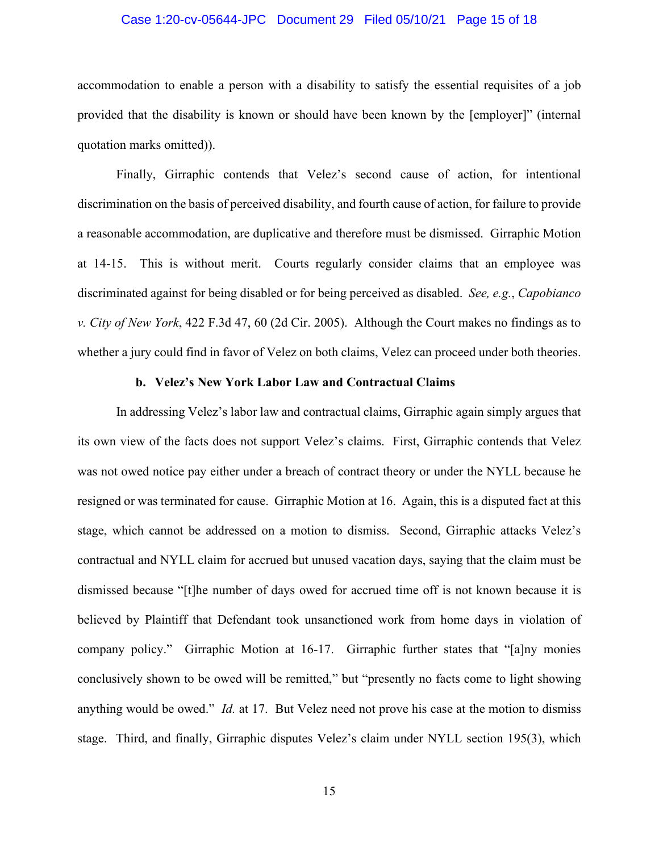# Case 1:20-cv-05644-JPC Document 29 Filed 05/10/21 Page 15 of 18

accommodation to enable a person with a disability to satisfy the essential requisites of a job provided that the disability is known or should have been known by the [employer]" (internal quotation marks omitted)).

Finally, Girraphic contends that Velez's second cause of action, for intentional discrimination on the basis of perceived disability, and fourth cause of action, for failure to provide a reasonable accommodation, are duplicative and therefore must be dismissed. Girraphic Motion at 14-15. This is without merit. Courts regularly consider claims that an employee was discriminated against for being disabled or for being perceived as disabled. *See, e.g.*, *Capobianco v. City of New York*, 422 F.3d 47, 60 (2d Cir. 2005). Although the Court makes no findings as to whether a jury could find in favor of Velez on both claims, Velez can proceed under both theories.

# **b. Velez's New York Labor Law and Contractual Claims**

In addressing Velez's labor law and contractual claims, Girraphic again simply argues that its own view of the facts does not support Velez's claims. First, Girraphic contends that Velez was not owed notice pay either under a breach of contract theory or under the NYLL because he resigned or was terminated for cause. Girraphic Motion at 16. Again, this is a disputed fact at this stage, which cannot be addressed on a motion to dismiss. Second, Girraphic attacks Velez's contractual and NYLL claim for accrued but unused vacation days, saying that the claim must be dismissed because "[t]he number of days owed for accrued time off is not known because it is believed by Plaintiff that Defendant took unsanctioned work from home days in violation of company policy." Girraphic Motion at 16-17. Girraphic further states that "[a]ny monies conclusively shown to be owed will be remitted," but "presently no facts come to light showing anything would be owed." *Id.* at 17. But Velez need not prove his case at the motion to dismiss stage. Third, and finally, Girraphic disputes Velez's claim under NYLL section 195(3), which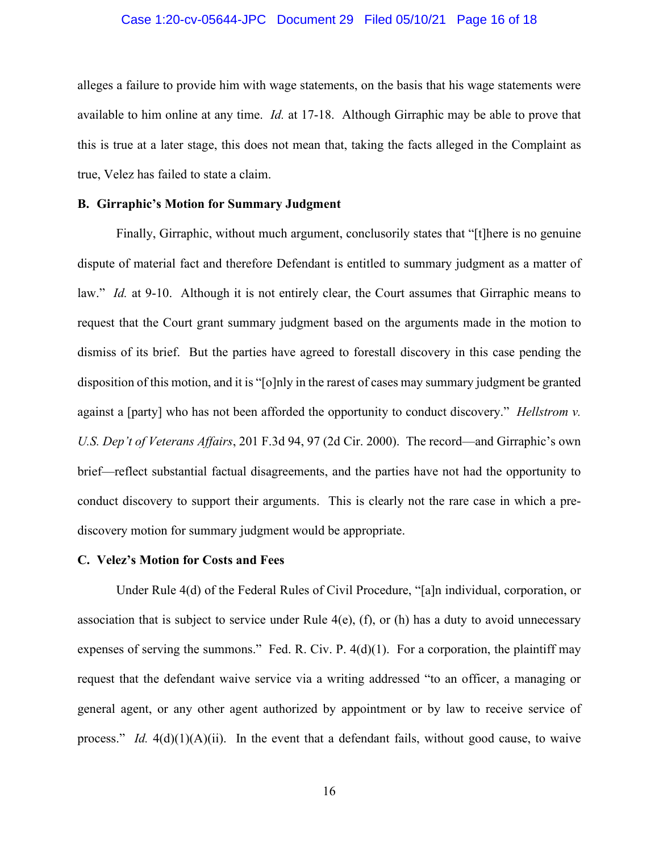## Case 1:20-cv-05644-JPC Document 29 Filed 05/10/21 Page 16 of 18

alleges a failure to provide him with wage statements, on the basis that his wage statements were available to him online at any time. *Id.* at 17-18. Although Girraphic may be able to prove that this is true at a later stage, this does not mean that, taking the facts alleged in the Complaint as true, Velez has failed to state a claim.

# **B. Girraphic's Motion for Summary Judgment**

Finally, Girraphic, without much argument, conclusorily states that "[t]here is no genuine dispute of material fact and therefore Defendant is entitled to summary judgment as a matter of law." *Id.* at 9-10. Although it is not entirely clear, the Court assumes that Girraphic means to request that the Court grant summary judgment based on the arguments made in the motion to dismiss of its brief. But the parties have agreed to forestall discovery in this case pending the disposition of this motion, and it is "[o]nly in the rarest of cases may summary judgment be granted against a [party] who has not been afforded the opportunity to conduct discovery." *Hellstrom v. U.S. Dep't of Veterans Affairs*, 201 F.3d 94, 97 (2d Cir. 2000). The record—and Girraphic's own brief—reflect substantial factual disagreements, and the parties have not had the opportunity to conduct discovery to support their arguments. This is clearly not the rare case in which a prediscovery motion for summary judgment would be appropriate.

#### **C. Velez's Motion for Costs and Fees**

Under Rule 4(d) of the Federal Rules of Civil Procedure, "[a]n individual, corporation, or association that is subject to service under Rule  $4(e)$ , (f), or (h) has a duty to avoid unnecessary expenses of serving the summons." Fed. R. Civ. P.  $4(d)(1)$ . For a corporation, the plaintiff may request that the defendant waive service via a writing addressed "to an officer, a managing or general agent, or any other agent authorized by appointment or by law to receive service of process." *Id.*  $4(d)(1)(A)(ii)$ . In the event that a defendant fails, without good cause, to waive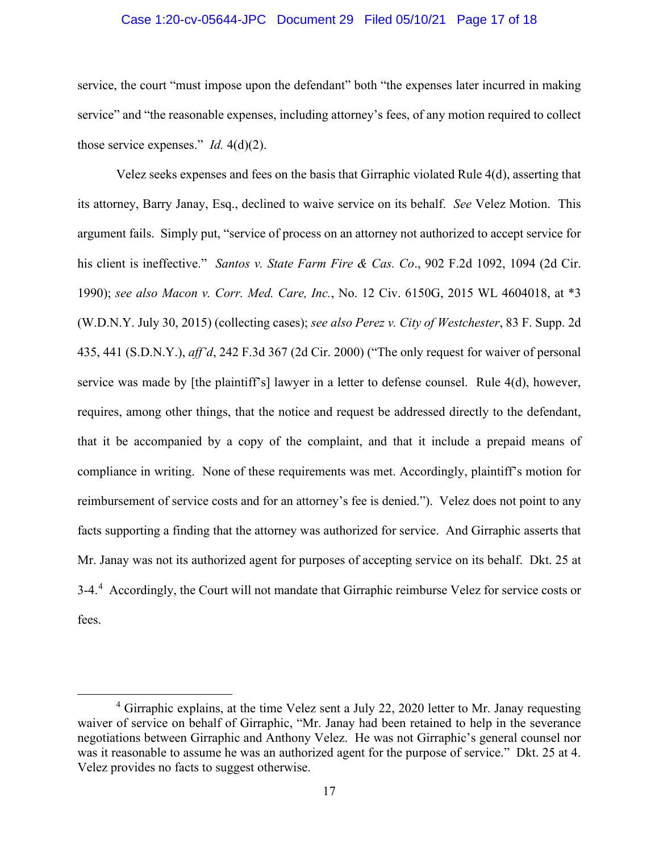# Case 1:20-cv-05644-JPC Document 29 Filed 05/10/21 Page 17 of 18

service, the court "must impose upon the defendant" both "the expenses later incurred in making service" and "the reasonable expenses, including attorney's fees, of any motion required to collect those service expenses." *Id.* 4(d)(2).

Velez seeks expenses and fees on the basis that Girraphic violated Rule 4(d), asserting that its attorney, Barry Janay, Esq., declined to waive service on its behalf. *See* Velez Motion. This argument fails. Simply put, "service of process on an attorney not authorized to accept service for his client is ineffective." *Santos v. State Farm Fire & Cas. Co*., 902 F.2d 1092, 1094 (2d Cir. 1990); *see also Macon v. Corr. Med. Care, Inc.*, No. 12 Civ. 6150G, 2015 WL 4604018, at \*3 (W.D.N.Y. July 30, 2015) (collecting cases); *see also Perez v. City of Westchester*, 83 F. Supp. 2d 435, 441 (S.D.N.Y.), *aff'd*, 242 F.3d 367 (2d Cir. 2000) ("The only request for waiver of personal service was made by [the plaintiff's] lawyer in a letter to defense counsel. Rule 4(d), however, requires, among other things, that the notice and request be addressed directly to the defendant, that it be accompanied by a copy of the complaint, and that it include a prepaid means of compliance in writing. None of these requirements was met. Accordingly, plaintiff's motion for reimbursement of service costs and for an attorney's fee is denied."). Velez does not point to any facts supporting a finding that the attorney was authorized for service. And Girraphic asserts that Mr. Janay was not its authorized agent for purposes of accepting service on its behalf. Dkt. 25 at 3-4.<sup>4</sup> Accordingly, the Court will not mandate that Girraphic reimburse Velez for service costs or fees.

<sup>&</sup>lt;sup>4</sup> Girraphic explains, at the time Velez sent a July 22, 2020 letter to Mr. Janay requesting waiver of service on behalf of Girraphic, "Mr. Janay had been retained to help in the severance negotiations between Girraphic and Anthony Velez. He was not Girraphic's general counsel nor was it reasonable to assume he was an authorized agent for the purpose of service." Dkt. 25 at 4. Velez provides no facts to suggest otherwise.